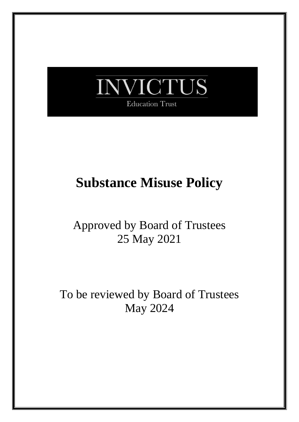

# **Substance Misuse Policy**

## Approved by Board of Trustees 25 May 2021

To be reviewed by Board of Trustees May 2024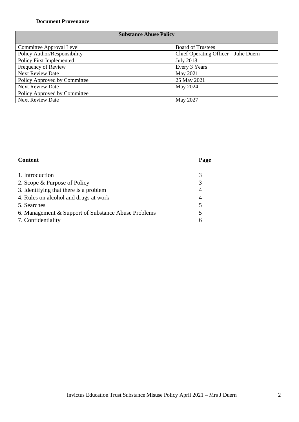#### **Document Provenance**

#### **Substance Abuse Policy**

| <b>Committee Approval Level</b> | <b>Board of Trustees</b>              |
|---------------------------------|---------------------------------------|
| Policy Author/Responsibility    | Chief Operating Officer – Julie Duern |
| <b>Policy First Implemented</b> | <b>July 2018</b>                      |
| Frequency of Review             | Every 3 Years                         |
| <b>Next Review Date</b>         | May 2021                              |
| Policy Approved by Committee    | 25 May 2021                           |
| <b>Next Review Date</b>         | May 2024                              |
| Policy Approved by Committee    |                                       |
| <b>Next Review Date</b>         | May 2027                              |

### **Content Page**

| 1. Introduction                                     |  |
|-----------------------------------------------------|--|
| 2. Scope & Purpose of Policy                        |  |
| 3. Identifying that there is a problem              |  |
| 4. Rules on alcohol and drugs at work               |  |
| 5. Searches                                         |  |
| 6. Management & Support of Substance Abuse Problems |  |
| 7. Confidentiality                                  |  |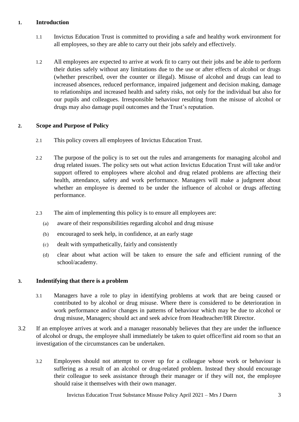#### **1. Introduction**

- 1.1 Invictus Education Trust is committed to providing a safe and healthy work environment for all employees, so they are able to carry out their jobs safely and effectively.
- 1.2 All employees are expected to arrive at work fit to carry out their jobs and be able to perform their duties safely without any limitations due to the use or after effects of alcohol or drugs (whether prescribed, over the counter or illegal). Misuse of alcohol and drugs can lead to increased absences, reduced performance, impaired judgement and decision making, damage to relationships and increased health and safety risks, not only for the individual but also for our pupils and colleagues. Irresponsible behaviour resulting from the misuse of alcohol or drugs may also damage pupil outcomes and the Trust's reputation.

#### **2. Scope and Purpose of Policy**

- 2.1 This policy covers all employees of Invictus Education Trust.
- 2.2 The purpose of the policy is to set out the rules and arrangements for managing alcohol and drug related issues. The policy sets out what action Invictus Education Trust will take and/or support offered to employees where alcohol and drug related problems are affecting their health, attendance, safety and work performance. Managers will make a judgment about whether an employee is deemed to be under the influence of alcohol or drugs affecting performance.
- 2.3 The aim of implementing this policy is to ensure all employees are:
	- (a) aware of their responsibilities regarding alcohol and drug misuse
	- (b) encouraged to seek help, in confidence, at an early stage
	- (c) dealt with sympathetically, fairly and consistently
	- (d) clear about what action will be taken to ensure the safe and efficient running of the school/academy.

#### **3. Indentifying that there is a problem**

- 3.1 Managers have a role to play in identifying problems at work that are being caused or contributed to by alcohol or drug misuse. Where there is considered to be deterioration in work performance and/or changes in patterns of behaviour which may be due to alcohol or drug misuse, Managers; should act and seek advice from Headteacher/HR Director.
- 3.2 If an employee arrives at work and a manager reasonably believes that they are under the influence of alcohol or drugs, the employee shall immediately be taken to quiet office/first aid room so that an investigation of the circumstances can be undertaken.
	- 3.2 Employees should not attempt to cover up for a colleague whose work or behaviour is suffering as a result of an alcohol or drug-related problem. Instead they should encourage their colleague to seek assistance through their manager or if they will not, the employee should raise it themselves with their own manager.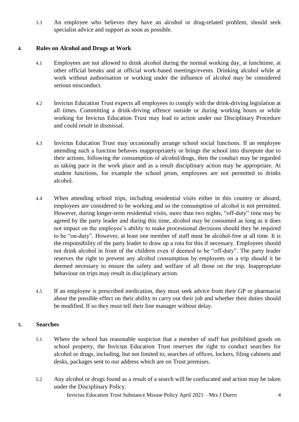3.3 An employee who believes they have an alcohol or drug-related problem, should seek specialist advice and support as soon as possible.

#### **4. Rules on Alcohol and Drugs at Work**

- 4.1 Employees are not allowed to drink alcohol during the normal working day, at lunchtime, at other official breaks and at official work-based meetings/events. Drinking alcohol while at work without authorisation or working under the influence of alcohol may be considered serious misconduct.
- 4.2 Invictus Education Trust expects all employees to comply with the drink-driving legislation at all times. Committing a drink-driving offence outside or during working hours or while working for Invictus Education Trust may lead to action under our Disciplinary Procedure and could result in dismissal.
- 4.3 Invictus Education Trust may occasionally arrange school social functions. If an employee attending such a function behaves inappropriately or brings the school into disrepute due to their actions, following the consumption of alcohol/drugs, then the conduct may be regarded as taking pace in the work place and as a result disciplinary action may be appropriate. At student functions, for example the school prom, employees are not permitted to drinks alcohol.
- 4.4 When attending school trips, including residential visits either in this country or aboard, employees are considered to be working and so the consumption of alcohol is not permitted. However, during longer-term residential visits, more than two nights, "off-duty" time may be agreed by the party leader and during this time, alcohol may be consumed as long as it does not impact on the employee's ability to make processional decisions should they be required to be "on-duty". However, at least one member of staff must be alcohol-free at all time. It is the responsibility of the party leader to draw up a rota for this if necessary. Employees should not drink alcohol in front of the children even if deemed to be "off-duty". The party leader reserves the right to prevent any alcohol consumption by employees on a trip should it be deemed necessary to ensure the safety and welfare of all those on the trip. Inappropriate behaviour on trips may result in disciplinary action.
- 4.5 If an employee is prescribed medication, they must seek advice from their GP or pharmacist about the possible effect on their ability to carry out their job and whether their duties should be modified. If so they must tell their line manager without delay.

#### **5. Searches**

- 5.1 Where the school has reasonable suspicion that a member of staff has prohibited goods on school property, the Invictus Education Trust reserves the right to conduct searches for alcohol or drugs, including, but not limited to, searches of offices, lockers, filing cabinets and desks, packages sent to our address which are on Trust premises.
- 5.2 Any alcohol or drugs found as a result of a search will be confiscated and action may be taken under the Disciplinary Policy.

Invictus Education Trust Substance Misuse Policy April 2021 – Mrs J Duern 4